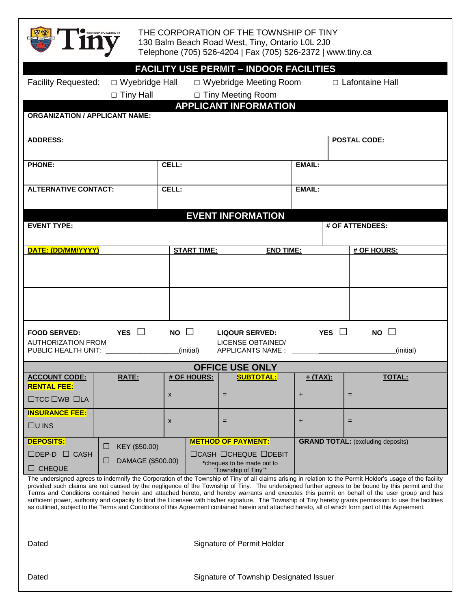

THE CORPORATION OF THE TOWNSHIP OF TINY 130 Balm Beach Road West, Tiny, Ontario L0L 2J0 Telephone (705) 526-4204 | Fax (705) 526-2372 | www.tiny.ca

|                                                                                                                                                                                                                                                                                                                                                                                                                                                                                                                                                                                                                                                                                                                                                                                  |                                      | <b>FACILITY USE PERMIT - INDOOR FACILITIES</b>                         |                                        |                     |                                                      |                                          |  |
|----------------------------------------------------------------------------------------------------------------------------------------------------------------------------------------------------------------------------------------------------------------------------------------------------------------------------------------------------------------------------------------------------------------------------------------------------------------------------------------------------------------------------------------------------------------------------------------------------------------------------------------------------------------------------------------------------------------------------------------------------------------------------------|--------------------------------------|------------------------------------------------------------------------|----------------------------------------|---------------------|------------------------------------------------------|------------------------------------------|--|
|                                                                                                                                                                                                                                                                                                                                                                                                                                                                                                                                                                                                                                                                                                                                                                                  | Facility Requested: □ Wyebridge Hall |                                                                        | □ Wyebridge Meeting Room               |                     |                                                      | $\Box$ Lafontaine Hall                   |  |
| □ Tiny Meeting Room<br>$\Box$ Tiny Hall                                                                                                                                                                                                                                                                                                                                                                                                                                                                                                                                                                                                                                                                                                                                          |                                      |                                                                        |                                        |                     |                                                      |                                          |  |
| <b>APPLICANT INFORMATION</b>                                                                                                                                                                                                                                                                                                                                                                                                                                                                                                                                                                                                                                                                                                                                                     |                                      |                                                                        |                                        |                     |                                                      |                                          |  |
| <b>ORGANIZATION / APPLICANT NAME:</b>                                                                                                                                                                                                                                                                                                                                                                                                                                                                                                                                                                                                                                                                                                                                            |                                      |                                                                        |                                        |                     |                                                      |                                          |  |
|                                                                                                                                                                                                                                                                                                                                                                                                                                                                                                                                                                                                                                                                                                                                                                                  |                                      |                                                                        |                                        |                     |                                                      |                                          |  |
| <b>ADDRESS:</b>                                                                                                                                                                                                                                                                                                                                                                                                                                                                                                                                                                                                                                                                                                                                                                  |                                      |                                                                        |                                        | <b>POSTAL CODE:</b> |                                                      |                                          |  |
| <b>PHONE:</b>                                                                                                                                                                                                                                                                                                                                                                                                                                                                                                                                                                                                                                                                                                                                                                    |                                      | CELL:                                                                  |                                        |                     | <b>EMAIL:</b>                                        |                                          |  |
|                                                                                                                                                                                                                                                                                                                                                                                                                                                                                                                                                                                                                                                                                                                                                                                  |                                      |                                                                        |                                        |                     |                                                      |                                          |  |
| <b>ALTERNATIVE CONTACT:</b>                                                                                                                                                                                                                                                                                                                                                                                                                                                                                                                                                                                                                                                                                                                                                      |                                      | CELL:                                                                  |                                        |                     | <b>EMAIL:</b>                                        |                                          |  |
|                                                                                                                                                                                                                                                                                                                                                                                                                                                                                                                                                                                                                                                                                                                                                                                  |                                      |                                                                        |                                        |                     |                                                      |                                          |  |
| <b>EVENT INFORMATION</b>                                                                                                                                                                                                                                                                                                                                                                                                                                                                                                                                                                                                                                                                                                                                                         |                                      |                                                                        |                                        |                     |                                                      |                                          |  |
| <b>EVENT TYPE:</b>                                                                                                                                                                                                                                                                                                                                                                                                                                                                                                                                                                                                                                                                                                                                                               |                                      |                                                                        |                                        |                     |                                                      | # OF ATTENDEES:                          |  |
|                                                                                                                                                                                                                                                                                                                                                                                                                                                                                                                                                                                                                                                                                                                                                                                  |                                      |                                                                        |                                        |                     |                                                      |                                          |  |
| DATE: (DD/MM/YYYY)                                                                                                                                                                                                                                                                                                                                                                                                                                                                                                                                                                                                                                                                                                                                                               |                                      |                                                                        | <b>START TIME:</b>                     |                     | <b>END TIME:</b>                                     | # OF HOURS:                              |  |
|                                                                                                                                                                                                                                                                                                                                                                                                                                                                                                                                                                                                                                                                                                                                                                                  |                                      |                                                                        |                                        |                     |                                                      |                                          |  |
|                                                                                                                                                                                                                                                                                                                                                                                                                                                                                                                                                                                                                                                                                                                                                                                  |                                      |                                                                        |                                        |                     |                                                      |                                          |  |
|                                                                                                                                                                                                                                                                                                                                                                                                                                                                                                                                                                                                                                                                                                                                                                                  |                                      |                                                                        |                                        |                     |                                                      |                                          |  |
|                                                                                                                                                                                                                                                                                                                                                                                                                                                                                                                                                                                                                                                                                                                                                                                  |                                      |                                                                        |                                        |                     |                                                      |                                          |  |
|                                                                                                                                                                                                                                                                                                                                                                                                                                                                                                                                                                                                                                                                                                                                                                                  |                                      |                                                                        |                                        |                     |                                                      |                                          |  |
| $NO \square$<br><b>PES</b> $\Box$<br>YES $\Box$<br>$NO \square$<br><b>FOOD SERVED:</b><br><b>LIQOUR SERVED:</b>                                                                                                                                                                                                                                                                                                                                                                                                                                                                                                                                                                                                                                                                  |                                      |                                                                        |                                        |                     |                                                      |                                          |  |
| <b>AUTHORIZATION FROM</b><br>PUBLIC HEALTH UNIT: NAMEL AND THE RESERVE TO A RESERVE THE RESERVE TO A REPORT OF THE RESERVE THE RESERVE THAT HE RESERVE THE RESERVE THAT HE RESERVE THE RESERVE THAT HE RESERVE THE RESERVE THAT HE RESERVE THE RESERVE THAT                                                                                                                                                                                                                                                                                                                                                                                                                                                                                                                      |                                      | LICENSE OBTAINED/<br>(initial)                                         |                                        |                     | APPLICANTS NAME : _____________________<br>(initial) |                                          |  |
|                                                                                                                                                                                                                                                                                                                                                                                                                                                                                                                                                                                                                                                                                                                                                                                  |                                      |                                                                        |                                        |                     |                                                      |                                          |  |
| <b>OFFICE USE ONLY</b><br><b># OF HOURS:</b><br><b>SUBTOTAL:</b>                                                                                                                                                                                                                                                                                                                                                                                                                                                                                                                                                                                                                                                                                                                 |                                      |                                                                        |                                        |                     |                                                      |                                          |  |
| <b>ACCOUNT CODE:</b><br><b>RENTAL FEE:</b>                                                                                                                                                                                                                                                                                                                                                                                                                                                                                                                                                                                                                                                                                                                                       | <b>RATE:</b>                         |                                                                        |                                        |                     | $+$ (TAX):                                           | <b>TOTAL:</b>                            |  |
| $\Box$ TCC $\Box$ WB $\Box$ LA                                                                                                                                                                                                                                                                                                                                                                                                                                                                                                                                                                                                                                                                                                                                                   |                                      | X                                                                      | $=$                                    |                     | +                                                    | $=$                                      |  |
| <b>INSURANCE FEE:</b>                                                                                                                                                                                                                                                                                                                                                                                                                                                                                                                                                                                                                                                                                                                                                            |                                      |                                                                        |                                        |                     |                                                      |                                          |  |
| $\Box$ U INS                                                                                                                                                                                                                                                                                                                                                                                                                                                                                                                                                                                                                                                                                                                                                                     |                                      | X                                                                      | $=$                                    |                     | +                                                    | $=$                                      |  |
| <b>DEPOSITS:</b>                                                                                                                                                                                                                                                                                                                                                                                                                                                                                                                                                                                                                                                                                                                                                                 |                                      |                                                                        | <b>METHOD OF PAYMENT:</b>              |                     |                                                      | <b>GRAND TOTAL:</b> (excluding deposits) |  |
| $\Box$ DEP-D $\Box$ CASH                                                                                                                                                                                                                                                                                                                                                                                                                                                                                                                                                                                                                                                                                                                                                         | KEY (\$50.00)<br>$\Box$              |                                                                        | $\Box$ CASH $\Box$ CHEQUE $\Box$ DEBIT |                     |                                                      |                                          |  |
| $\Box$ CHEQUE                                                                                                                                                                                                                                                                                                                                                                                                                                                                                                                                                                                                                                                                                                                                                                    | ப                                    | DAMAGE (\$500.00)<br>*cheques to be made out to<br>"Township of Tiny"* |                                        |                     |                                                      |                                          |  |
| The undersigned agrees to indemnify the Corporation of the Township of Tiny of all claims arising in relation to the Permit Holder's usage of the facility<br>provided such claims are not caused by the negligence of the Township of Tiny. The undersigned further agrees to be bound by this permit and the<br>Terms and Conditions contained herein and attached hereto, and hereby warrants and executes this permit on behalf of the user group and has<br>sufficient power, authority and capacity to bind the Licensee with his/her signature. The Township of Tiny hereby grants permission to use the facilities<br>as outlined, subject to the Terms and Conditions of this Agreement contained herein and attached hereto, all of which form part of this Agreement. |                                      |                                                                        |                                        |                     |                                                      |                                          |  |
|                                                                                                                                                                                                                                                                                                                                                                                                                                                                                                                                                                                                                                                                                                                                                                                  |                                      |                                                                        |                                        |                     |                                                      |                                          |  |
|                                                                                                                                                                                                                                                                                                                                                                                                                                                                                                                                                                                                                                                                                                                                                                                  |                                      |                                                                        |                                        |                     |                                                      |                                          |  |

Dated **Dated** Signature of Permit Holder